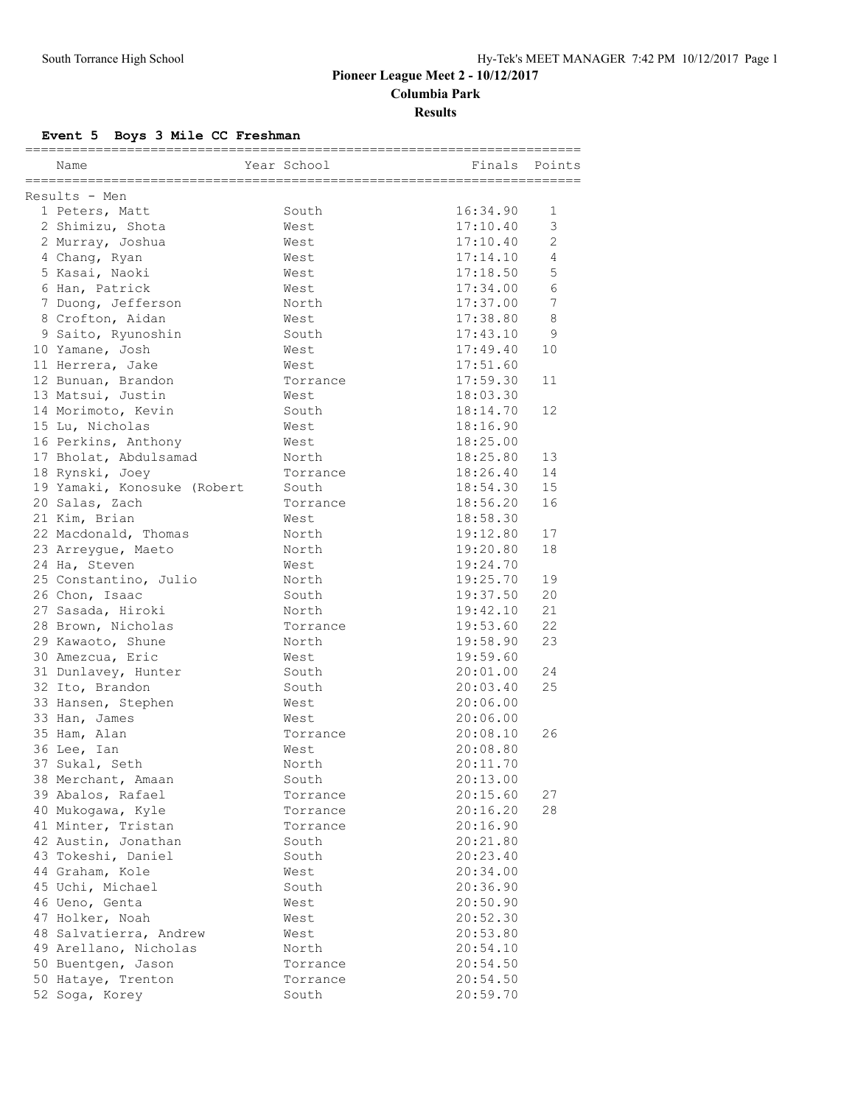## **Pioneer League Meet 2 - 10/12/2017 Columbia Park Results**

# **Event 5 Boys 3 Mile CC Freshman**

|                                       |             | ._______________________ |        |
|---------------------------------------|-------------|--------------------------|--------|
| Name                                  | Year School | Finals                   | Points |
| ------------------------------------- |             |                          |        |
| Results - Men                         |             |                          |        |
| 1 Peters, Matt                        | South       | 16:34.90                 | 1      |
| 2 Shimizu, Shota                      | West        | 17:10.40                 | 3      |
| 2 Murray, Joshua                      | West        | 17:10.40                 | 2      |
| 4 Chang, Ryan                         | West        | 17:14.10                 | 4      |
| 5 Kasai, Naoki                        | West        | 17:18.50                 | 5      |
| 6 Han, Patrick                        | West        | 17:34.00                 | 6      |
| 7 Duong, Jefferson                    | North       | 17:37.00                 | 7      |
| 8 Crofton, Aidan                      | West        | 17:38.80                 | 8      |
| 9 Saito, Ryunoshin                    | South       | 17:43.10                 | 9      |
| 10 Yamane, Josh                       | West        | 17:49.40                 | 10     |
| 11 Herrera, Jake                      | West        | 17:51.60                 |        |
| 12 Bunuan, Brandon                    | Torrance    | 17:59.30                 | 11     |
| 13 Matsui, Justin                     | West        | 18:03.30                 |        |
| 14 Morimoto, Kevin                    | South       | 18:14.70                 | 12     |
| 15 Lu, Nicholas                       | West        | 18:16.90                 |        |
| 16 Perkins, Anthony                   | West        | 18:25.00                 |        |
| 17 Bholat, Abdulsamad                 | North       | 18:25.80                 | 13     |
| 18 Rynski, Joey                       | Torrance    | 18:26.40                 | 14     |
| 19 Yamaki, Konosuke (Robert           | South       | 18:54.30                 | 15     |
| 20 Salas, Zach                        | Torrance    | 18:56.20                 | 16     |
| 21 Kim, Brian                         | West.       | 18:58.30                 |        |
| 22 Macdonald, Thomas                  | North       | 19:12.80                 | 17     |
| 23 Arreygue, Maeto                    | North       | 19:20.80                 | 18     |
| 24 Ha, Steven                         | West        | 19:24.70                 |        |
| 25 Constantino, Julio                 | North       | 19:25.70                 | 19     |
| 26 Chon, Isaac                        | South       | 19:37.50                 | 20     |
| 27 Sasada, Hiroki                     | North       | 19:42.10                 | 21     |
| 28 Brown, Nicholas                    | Torrance    | 19:53.60                 | 22     |
| 29 Kawaoto, Shune                     | North       | 19:58.90                 | 23     |
| 30 Amezcua, Eric                      | West        | 19:59.60                 |        |
| 31 Dunlavey, Hunter                   | South       | 20:01.00                 | 24     |
| 32 Ito, Brandon                       | South       | 20:03.40                 | 25     |
| 33 Hansen, Stephen                    | West        | 20:06.00                 |        |
| 33 Han, James                         | West        | 20:06.00                 |        |
| 35 Ham, Alan                          | Torrance    | 20:08.10                 | 26     |
| 36 Lee, Ian                           | West        | 20:08.80                 |        |
| 37 Sukal, Seth                        | North       | 20:11.70                 |        |
| 38 Merchant, Amaan                    | South       | 20:13.00                 |        |
| 39 Abalos, Rafael                     | Torrance    | 20:15.60                 | 27     |
| 40 Mukoqawa, Kyle                     | Torrance    | 20:16.20                 | 28     |
| 41 Minter, Tristan                    | Torrance    | 20:16.90                 |        |
| 42 Austin, Jonathan                   | South       | 20:21.80                 |        |
| 43 Tokeshi, Daniel                    | South       | 20:23.40                 |        |
| 44 Graham, Kole                       | West        | 20:34.00                 |        |
| 45 Uchi, Michael                      | South       | 20:36.90                 |        |
| 46 Ueno, Genta                        | West        | 20:50.90                 |        |
| 47 Holker, Noah                       | West        | 20:52.30                 |        |
| 48 Salvatierra, Andrew                | West        | 20:53.80                 |        |
| 49 Arellano, Nicholas                 | North       | 20:54.10                 |        |
| 50 Buentgen, Jason                    | Torrance    | 20:54.50                 |        |
| 50 Hataye, Trenton                    |             | 20:54.50                 |        |
|                                       | Torrance    |                          |        |
| 52 Soga, Korey                        | South       | 20:59.70                 |        |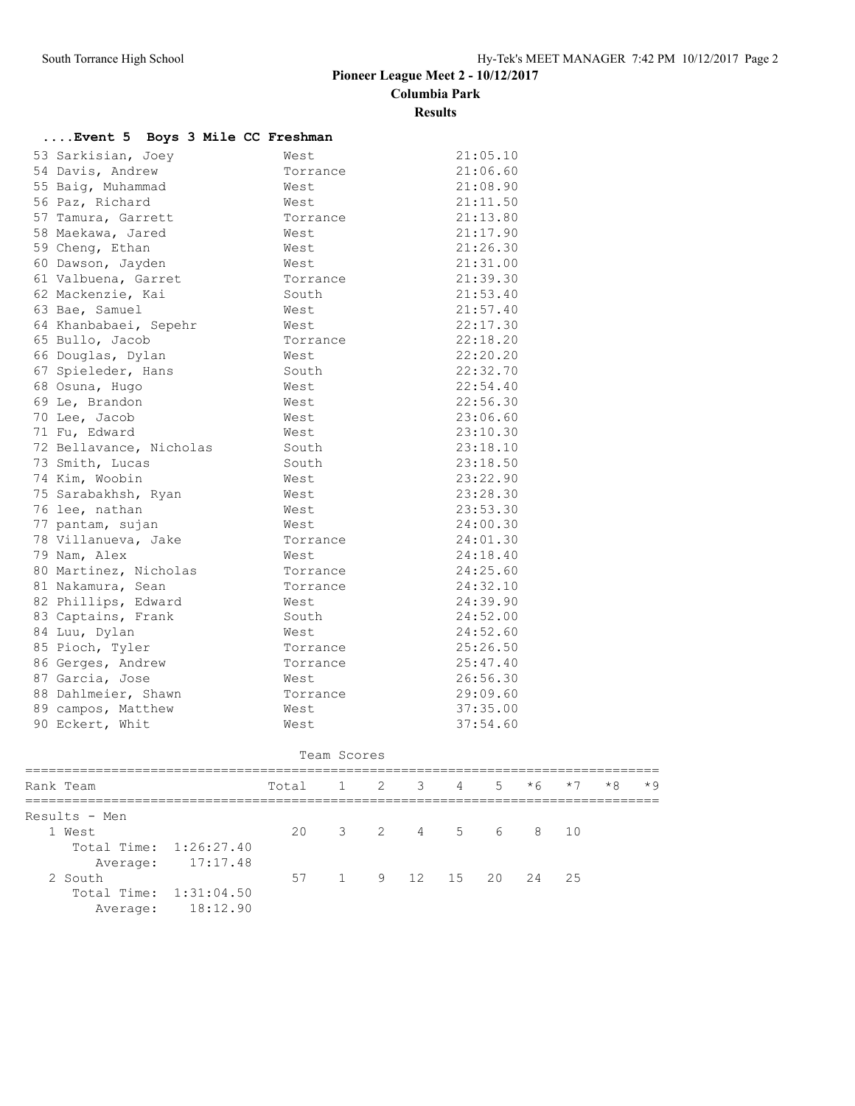## **Pioneer League Meet 2 - 10/12/2017 Columbia Park**

#### **Results**

## **....Event 5 Boys 3 Mile CC Freshman**

| 53 Sarkisian, Joey      | West     | 21:05.10 |
|-------------------------|----------|----------|
| 54 Davis, Andrew        | Torrance | 21:06.60 |
| 55 Baig, Muhammad       | West     | 21:08.90 |
| 56 Paz, Richard         | West     | 21:11.50 |
| 57 Tamura, Garrett      | Torrance | 21:13.80 |
| 58 Maekawa, Jared       | West     | 21:17.90 |
| 59 Cheng, Ethan         | West     | 21:26.30 |
| 60 Dawson, Jayden       | West.    | 21:31.00 |
| 61 Valbuena, Garret     | Torrance | 21:39.30 |
| 62 Mackenzie, Kai       | South    | 21:53.40 |
| 63 Bae, Samuel          | West     | 21:57.40 |
| 64 Khanbabaei, Sepehr   | West     | 22:17.30 |
| 65 Bullo, Jacob         | Torrance | 22:18.20 |
| 66 Douglas, Dylan       | West     | 22:20.20 |
| 67 Spieleder, Hans      | South    | 22:32.70 |
| 68 Osuna, Hugo          | West     | 22:54.40 |
| 69 Le, Brandon          | West     | 22:56.30 |
| 70 Lee, Jacob           | West     | 23:06.60 |
| 71 Fu, Edward           | West     | 23:10.30 |
| 72 Bellavance, Nicholas | South    | 23:18.10 |
| 73 Smith, Lucas         | South    | 23:18.50 |
| 74 Kim, Woobin          | West     | 23:22.90 |
| 75 Sarabakhsh, Ryan     | West     | 23:28.30 |
| 76 lee, nathan          | West     | 23:53.30 |
| 77 pantam, sujan        | West     | 24:00.30 |
| 78 Villanueva, Jake     | Torrance | 24:01.30 |
| 79 Nam, Alex            | West     | 24:18.40 |
| 80 Martinez, Nicholas   | Torrance | 24:25.60 |
| 81 Nakamura, Sean       | Torrance | 24:32.10 |
| 82 Phillips, Edward     | West     | 24:39.90 |
| 83 Captains, Frank      | South    | 24:52.00 |
| 84 Luu, Dylan           | West     | 24:52.60 |
| 85 Pioch, Tyler         | Torrance | 25:26.50 |
| 86 Gerges, Andrew       | Torrance | 25:47.40 |
| 87 Garcia, Jose         | West     | 26:56.30 |
| 88 Dahlmeier, Shawn     | Torrance | 29:09.60 |
| 89 campos, Matthew      | West     | 37:35.00 |
| 90 Eckert, Whit         | West     | 37:54.60 |

#### Team Scores

| Rank Team              |                   | Total |  | 1 2 3 4 5 |  | $*6$               | $*7$ | $*8$ | $*9$ |
|------------------------|-------------------|-------|--|-----------|--|--------------------|------|------|------|
| Results - Men          |                   |       |  |           |  |                    |      |      |      |
| 1 West                 |                   | 20    |  |           |  | 3 2 4 5 6 8 10     |      |      |      |
| Total Time: 1:26:27.40 |                   |       |  |           |  |                    |      |      |      |
|                        | Average: 17:17.48 |       |  |           |  |                    |      |      |      |
| 2 South                |                   | 57    |  |           |  | 1 9 12 15 20 24 25 |      |      |      |
| Total Time: 1:31:04.50 |                   |       |  |           |  |                    |      |      |      |
| Average:               | 18:12.90          |       |  |           |  |                    |      |      |      |